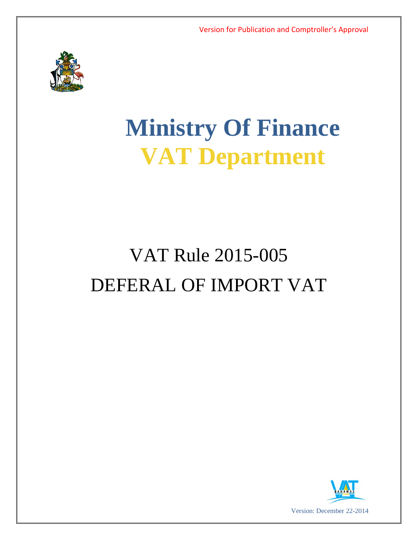

# **Ministry Of Finance VAT Department**

# VAT Rule 2015-005 DEFERAL OF IMPORT VAT

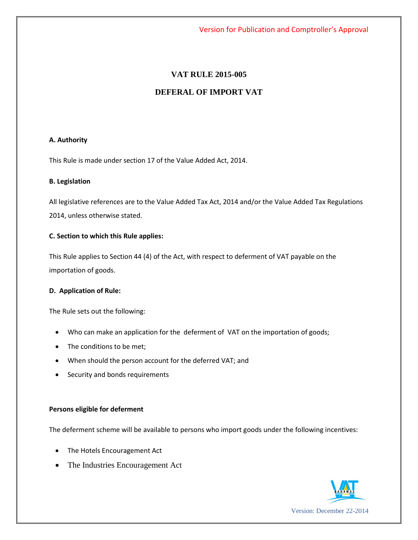## **VAT RULE 2015-005**

# **DEFERAL OF IMPORT VAT**

#### **A. Authority**

This Rule is made under section 17 of the Value Added Act, 2014.

#### **B. Legislation**

All legislative references are to the Value Added Tax Act, 2014 and/or the Value Added Tax Regulations 2014, unless otherwise stated.

#### **C. Section to which this Rule applies:**

This Rule applies to Section 44 (4) of the Act, with respect to deferment of VAT payable on the importation of goods.

#### **D. Application of Rule:**

The Rule sets out the following:

- Who can make an application for the deferment of VAT on the importation of goods;
- The conditions to be met;
- When should the person account for the deferred VAT; and
- Security and bonds requirements

#### **Persons eligible for deferment**

The deferment scheme will be available to persons who import goods under the following incentives:

- The Hotels Encouragement Act
- The Industries Encouragement Act

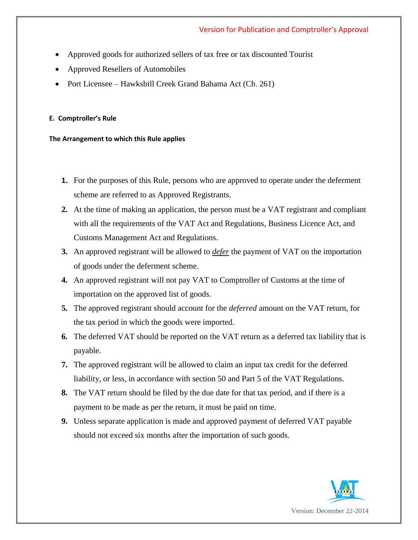- Approved goods for authorized sellers of tax free or tax discounted Tourist
- Approved Resellers of Automobiles
- Port Licensee Hawksbill Creek Grand Bahama Act (Ch. 261)

### **E. Comptroller's Rule**

#### **The Arrangement to which this Rule applies**

- **1.** For the purposes of this Rule, persons who are approved to operate under the deferment scheme are referred to as Approved Registrants.
- **2.** At the time of making an application, the person must be a VAT registrant and compliant with all the requirements of the VAT Act and Regulations, Business Licence Act, and Customs Management Act and Regulations.
- **3.** An approved registrant will be allowed to *defer* the payment of VAT on the importation of goods under the deferment scheme.
- **4.** An approved registrant will not pay VAT to Comptroller of Customs at the time of importation on the approved list of goods.
- **5.** The approved registrant should account for the *deferred* amount on the VAT return, for the tax period in which the goods were imported.
- **6.** The deferred VAT should be reported on the VAT return as a deferred tax liability that is payable.
- **7.** The approved registrant will be allowed to claim an input tax credit for the deferred liability, or less, in accordance with section 50 and Part 5 of the VAT Regulations.
- **8.** The VAT return should be filed by the due date for that tax period, and if there is a payment to be made as per the return, it must be paid on time.
- **9.** Unless separate application is made and approved payment of deferred VAT payable should not exceed six months after the importation of such goods.